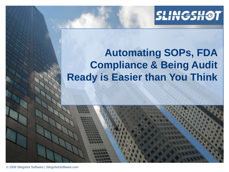

# **Automating SOPs, FDA Compliance & Being Audit Ready is Easier than You Think**

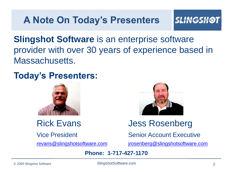# **A Note On Today's Presenters**

#### **SLINGSH**

**Slingshot Software** is an enterprise software provider with over 30 years of experience based in Massachusetts.

## **Today's Presenters:**





## Rick Evans Jess Rosenberg

Vice President Senior Account Executive

[revans@slingshotsoftware.com](mailto:revans@slingshotsoftware.com) [jrosenberg@slingshotsoftware.com](mailto:jrosenberg@slingshotsoftware.com)

**Phone: 1-717-427-1170**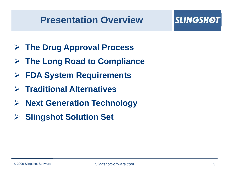## **Presentation Overview**

- **The Drug Approval Process**
- **The Long Road to Compliance**
- **FDA System Requirements**
- **Traditional Alternatives**
- **Next Generation Technology**
- **▶ Slingshot Solution Set**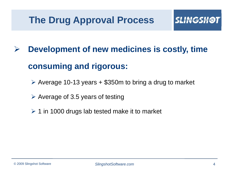# **The Drug Approval Process**

# **Development of new medicines is costly, time consuming and rigorous:**

- $\triangleright$  Average 10-13 years + \$350m to bring a drug to market
- $\triangleright$  Average of 3.5 years of testing
- $\geq 1$  in 1000 drugs lab tested make it to market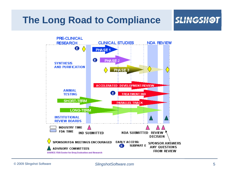## **The Long Road to Compliance**

## **SLINGSHØT**

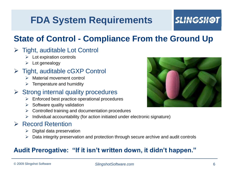# **FDA System Requirements**

## **SLINGSH**

## **State of Control - Compliance From the Ground Up**

#### $\triangleright$  Tight, auditable Lot Control

- $\triangleright$  Lot expiration controls
- $\triangleright$  Lot genealogy

#### $\triangleright$  Tight, auditable cGXP Control

- > Material movement control
- $\triangleright$  Temperature and humidity

#### $\triangleright$  Strong internal quality procedures

- Enforced best practice operational procedures
- $\triangleright$  Software quality validation
- Controlled training and documentation procedures
- $\triangleright$  Individual accountability (for action initiated under electronic signature)

#### $\triangleright$  Record Retention

- Digital data preservation
- $\triangleright$  Data integrity preservation and protection through secure archive and audit controls

#### **Audit Prerogative: "If it isn't written down, it didn't happen."**

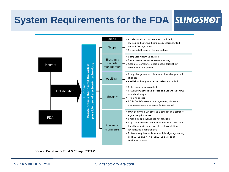# **System Requirements for the FDA SLINGSHOT**



**Source: Cap Gemini Ernst & Young (***CGE&Y***)**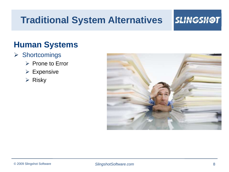# **Traditional System Alternatives**

## **SLINGSHOT**

## **Human Systems**

- $\triangleright$  Shortcomings
	- $\triangleright$  Prone to Error
	- Expensive
	- $\triangleright$  Risky

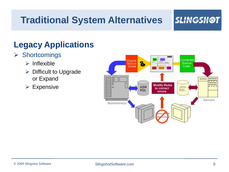# **Traditional System Alternatives**

#### **SLINGSH**

## **Legacy Applications**

#### $\triangleright$  Shortcomings

- $\triangleright$  Inflexible
- $\triangleright$  Difficult to Upgrade or Expand
- $\triangleright$  Expensive

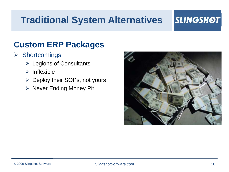# **Traditional System Alternatives**

## **SLINGSHOT**

## **Custom ERP Packages**

#### $\triangleright$  Shortcomings

- Legions of Consultants
- $\triangleright$  Inflexible
- $\triangleright$  Deploy their SOPs, not yours
- $\triangleright$  Never Ending Money Pit

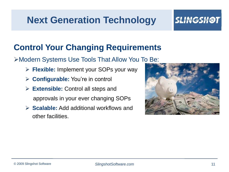# **Next Generation Technology**

## *SLINGSH*

## **Control Your Changing Requirements**

Modern Systems Use Tools That Allow You To Be:

- **Flexible:** Implement your SOPs your way
- **Configurable:** You're in control
- **Extensible:** Control all steps and approvals in your ever changing SOPs
- **Scalable:** Add additional workflows and other facilities.

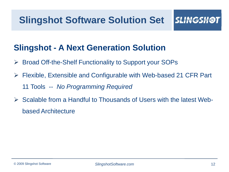## **Slingshot - A Next Generation Solution**

- Broad Off-the-Shelf Functionality to Support your SOPs
- Flexible, Extensible and Configurable with Web-based 21 CFR Part 11 Tools -- *No Programming Required*
- $\triangleright$  Scalable from a Handful to Thousands of Users with the latest Webbased Architecture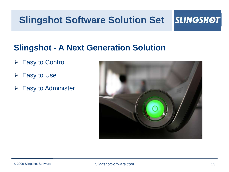# **Slingshot Software Solution Set**

#### **SLINGSH@T**

## **Slingshot - A Next Generation Solution**

- $\triangleright$  Easy to Control
- $\triangleright$  Easy to Use
- $\triangleright$  Easy to Administer

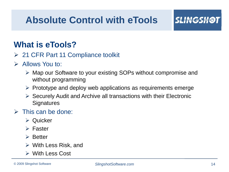# **Absolute Control with eTools**

## **What is eTools?**

- **► 21 CFR Part 11 Compliance toolkit**
- $\triangleright$  Allows You to:
	- Map our Software to your existing SOPs without compromise and without programming
	- $\triangleright$  Prototype and deploy web applications as requirements emerge
	- $\triangleright$  Securely Audit and Archive all transactions with their Electronic **Signatures**

#### $\triangleright$  This can be done:

- $\triangleright$  Quicker
- $\triangleright$  Faster
- $\triangleright$  Better
- $\triangleright$  With Less Risk, and
- With Less Cost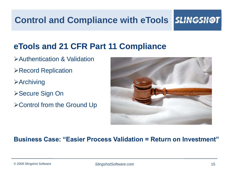**Control and Compliance with eTools SLINGSHOT** 

## **eTools and 21 CFR Part 11 Compliance**

- Authentication & Validation
- Record Replication
- **>Archiving**
- **≻Secure Sign On**
- Control from the Ground Up



#### **Business Case: "Easier Process Validation = Return on Investment"**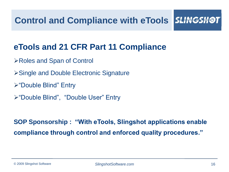**Control and Compliance with eTools** *ISLING* 

## **eTools and 21 CFR Part 11 Compliance**

- **≻Roles and Span of Control**
- Single and Double Electronic Signature
- "Double Blind" Entry
- "Double Blind", "Double User" Entry

**SOP Sponsorship : "With eTools, Slingshot applications enable compliance through control and enforced quality procedures."**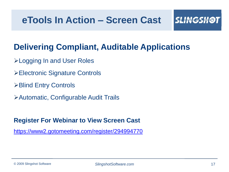## **eTools In Action – Screen Cast**

## **Delivering Compliant, Auditable Applications**

- Logging In and User Roles
- Electronic Signature Controls
- **≻Blind Entry Controls**
- Automatic, Configurable Audit Trails

#### **Register For Webinar to View Screen Cast**

<https://www2.gotomeeting.com/register/294994770>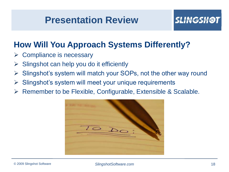## **Presentation Review**

## **How Will You Approach Systems Differently?**

- Compliance is necessary
- Slingshot can help you do it efficiently
- Slingshot's system will match your SOPs, not the other way round
- Slingshot's system will meet your unique requirements
- $\triangleright$  Remember to be Flexible, Configurable, Extensible & Scalable.